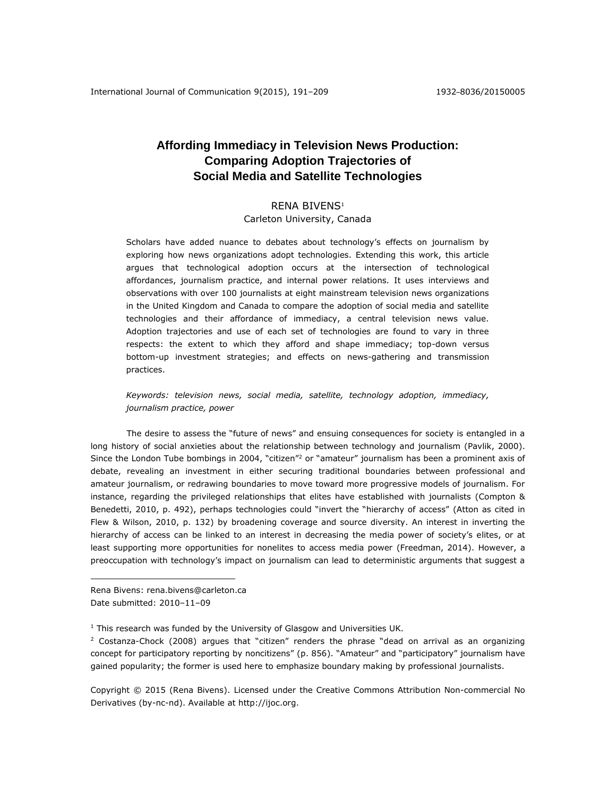# **Affording Immediacy in Television News Production: Comparing Adoption Trajectories of Social Media and Satellite Technologies**

# RENA BIVENS<sup>1</sup>

# Carleton University, Canada

Scholars have added nuance to debates about technology's effects on journalism by exploring how news organizations adopt technologies. Extending this work, this article argues that technological adoption occurs at the intersection of technological affordances, journalism practice, and internal power relations. It uses interviews and observations with over 100 journalists at eight mainstream television news organizations in the United Kingdom and Canada to compare the adoption of social media and satellite technologies and their affordance of immediacy, a central television news value. Adoption trajectories and use of each set of technologies are found to vary in three respects: the extent to which they afford and shape immediacy; top-down versus bottom-up investment strategies; and effects on news-gathering and transmission practices.

*Keywords: television news, social media, satellite, technology adoption, immediacy, journalism practice, power*

The desire to assess the "future of news" and ensuing consequences for society is entangled in a long history of social anxieties about the relationship between technology and journalism (Pavlik, 2000). Since the London Tube bombings in 2004, "citizen"<sup>2</sup> or "amateur" journalism has been a prominent axis of debate, revealing an investment in either securing traditional boundaries between professional and amateur journalism, or redrawing boundaries to move toward more progressive models of journalism. For instance, regarding the privileged relationships that elites have established with journalists (Compton & Benedetti, 2010, p. 492), perhaps technologies could "invert the "hierarchy of access" (Atton as cited in Flew & Wilson, 2010, p. 132) by broadening coverage and source diversity. An interest in inverting the hierarchy of access can be linked to an interest in decreasing the media power of society's elites, or at least supporting more opportunities for nonelites to access media power (Freedman, 2014). However, a preoccupation with technology's impact on journalism can lead to deterministic arguments that suggest a

Rena Bivens: rena.bivens@carleton.ca Date submitted: 2010–11–09

 $\overline{a}$ 

 $1$  This research was funded by the University of Glasgow and Universities UK.

 $2$  Costanza-Chock (2008) argues that "citizen" renders the phrase "dead on arrival as an organizing concept for participatory reporting by noncitizens" (p. 856). "Amateur" and "participatory" journalism have gained popularity; the former is used here to emphasize boundary making by professional journalists.

Copyright © 2015 (Rena Bivens). Licensed under the Creative Commons Attribution Non-commercial No Derivatives (by-nc-nd). Available at [http://ijoc.org.](http://ijoc.org/)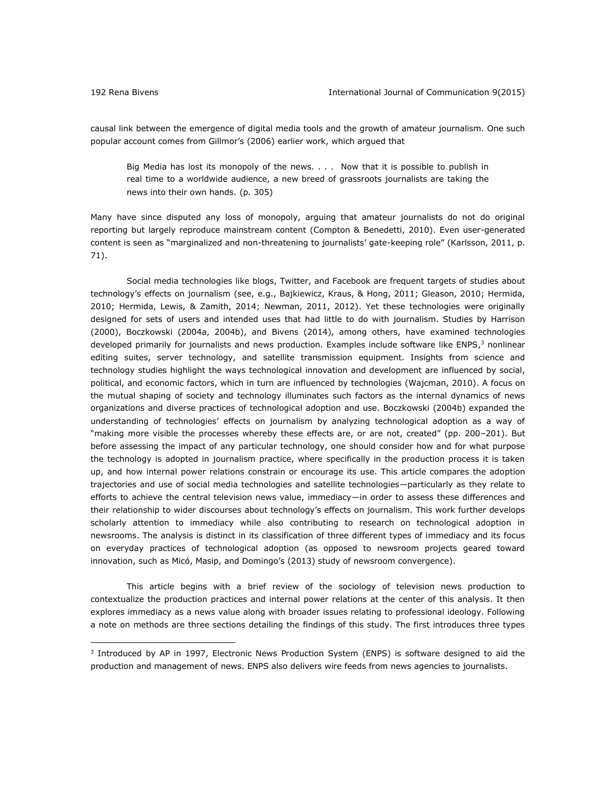causal link between the emergence of digital media tools and the growth of amateur journalism. One such popular account comes from Gillmor's (2006) earlier work, which argued that

Big Media has lost its monopoly of the news. . . . Now that it is possible to publish in real time to a worldwide audience, a new breed of grassroots journalists are taking the news into their own hands. (p. 305)

Many have since disputed any loss of monopoly, arguing that amateur journalists do not do original reporting but largely reproduce mainstream content (Compton & Benedetti, 2010). Even user-generated content is seen as "marginalized and non-threatening to journalists' gate-keeping role" (Karlsson, 2011, p. 71).

Social media technologies like blogs, Twitter, and Facebook are frequent targets of studies about technology's effects on journalism (see, e.g., Bajkiewicz, Kraus, & Hong, 2011; Gleason, 2010; Hermida, 2010; Hermida, Lewis, & Zamith, 2014; Newman, 2011, 2012). Yet these technologies were originally designed for sets of users and intended uses that had little to do with journalism. Studies by Harrison (2000), Boczkowski (2004a, 2004b), and Bivens (2014), among others, have examined technologies developed primarily for journalists and news production. Examples include software like ENPS,<sup>3</sup> nonlinear editing suites, server technology, and satellite transmission equipment. Insights from science and technology studies highlight the ways technological innovation and development are influenced by social, political, and economic factors, which in turn are influenced by technologies (Wajcman, 2010). A focus on the mutual shaping of society and technology illuminates such factors as the internal dynamics of news organizations and diverse practices of technological adoption and use. Boczkowski (2004b) expanded the understanding of technologies' effects on journalism by analyzing technological adoption as a way of "making more visible the processes whereby these effects are, or are not, created" (pp. 200–201). But before assessing the impact of any particular technology, one should consider how and for what purpose the technology is adopted in journalism practice, where specifically in the production process it is taken up, and how internal power relations constrain or encourage its use. This article compares the adoption trajectories and use of social media technologies and satellite technologies—particularly as they relate to efforts to achieve the central television news value, immediacy—in order to assess these differences and their relationship to wider discourses about technology's effects on journalism. This work further develops scholarly attention to immediacy while also contributing to research on technological adoption in newsrooms. The analysis is distinct in its classification of three different types of immediacy and its focus on everyday practices of technological adoption (as opposed to newsroom projects geared toward innovation, such as Micó, Masip, and Domingo's (2013) study of newsroom convergence).

This article begins with a brief review of the sociology of television news production to contextualize the production practices and internal power relations at the center of this analysis. It then explores immediacy as a news value along with broader issues relating to professional ideology. Following a note on methods are three sections detailing the findings of this study. The first introduces three types

<sup>&</sup>lt;sup>3</sup> Introduced by AP in 1997, Electronic News Production System (ENPS) is software designed to aid the production and management of news. ENPS also delivers wire feeds from news agencies to journalists.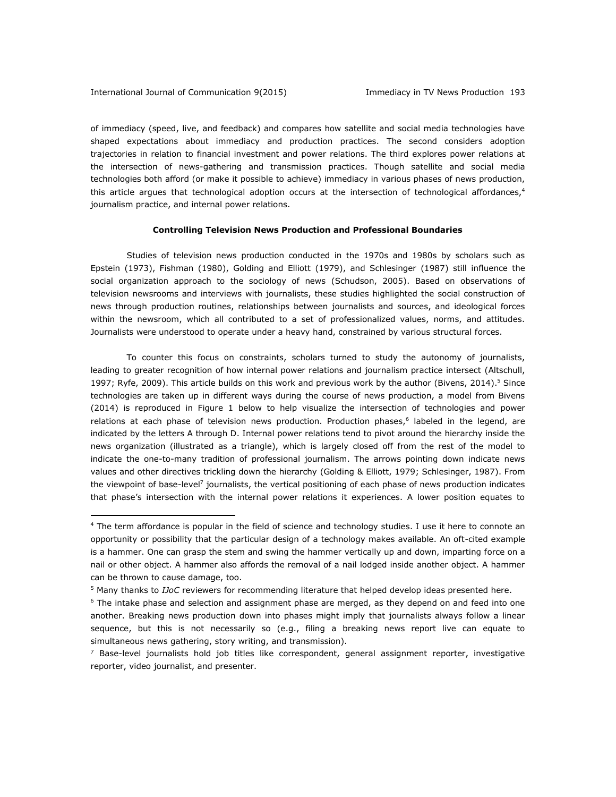of immediacy (speed, live, and feedback) and compares how satellite and social media technologies have shaped expectations about immediacy and production practices. The second considers adoption trajectories in relation to financial investment and power relations. The third explores power relations at the intersection of news-gathering and transmission practices. Though satellite and social media technologies both afford (or make it possible to achieve) immediacy in various phases of news production, this article argues that technological adoption occurs at the intersection of technological affordances, $4$ journalism practice, and internal power relations.

#### **Controlling Television News Production and Professional Boundaries**

Studies of television news production conducted in the 1970s and 1980s by scholars such as Epstein (1973), Fishman (1980), Golding and Elliott (1979), and Schlesinger (1987) still influence the social organization approach to the sociology of news (Schudson, 2005). Based on observations of television newsrooms and interviews with journalists, these studies highlighted the social construction of news through production routines, relationships between journalists and sources, and ideological forces within the newsroom, which all contributed to a set of professionalized values, norms, and attitudes. Journalists were understood to operate under a heavy hand, constrained by various structural forces.

To counter this focus on constraints, scholars turned to study the autonomy of journalists, leading to greater recognition of how internal power relations and journalism practice intersect (Altschull, 1997; Ryfe, 2009). This article builds on this work and previous work by the author (Bivens, 2014).<sup>5</sup> Since technologies are taken up in different ways during the course of news production, a model from Bivens (2014) is reproduced in Figure 1 below to help visualize the intersection of technologies and power relations at each phase of television news production. Production phases,<sup>6</sup> labeled in the legend, are indicated by the letters A through D. Internal power relations tend to pivot around the hierarchy inside the news organization (illustrated as a triangle), which is largely closed off from the rest of the model to indicate the one-to-many tradition of professional journalism. The arrows pointing down indicate news values and other directives trickling down the hierarchy (Golding & Elliott, 1979; Schlesinger, 1987). From the viewpoint of base-level<sup>7</sup> journalists, the vertical positioning of each phase of news production indicates that phase's intersection with the internal power relations it experiences. A lower position equates to

<sup>&</sup>lt;sup>4</sup> The term affordance is popular in the field of science and technology studies. I use it here to connote an opportunity or possibility that the particular design of a technology makes available. An oft-cited example is a hammer. One can grasp the stem and swing the hammer vertically up and down, imparting force on a nail or other object. A hammer also affords the removal of a nail lodged inside another object. A hammer can be thrown to cause damage, too.

<sup>5</sup> Many thanks to *IJoC* reviewers for recommending literature that helped develop ideas presented here.

 $6$  The intake phase and selection and assignment phase are merged, as they depend on and feed into one another. Breaking news production down into phases might imply that journalists always follow a linear sequence, but this is not necessarily so (e.g., filing a breaking news report live can equate to simultaneous news gathering, story writing, and transmission).

 $7$  Base-level journalists hold job titles like correspondent, general assignment reporter, investigative reporter, video journalist, and presenter.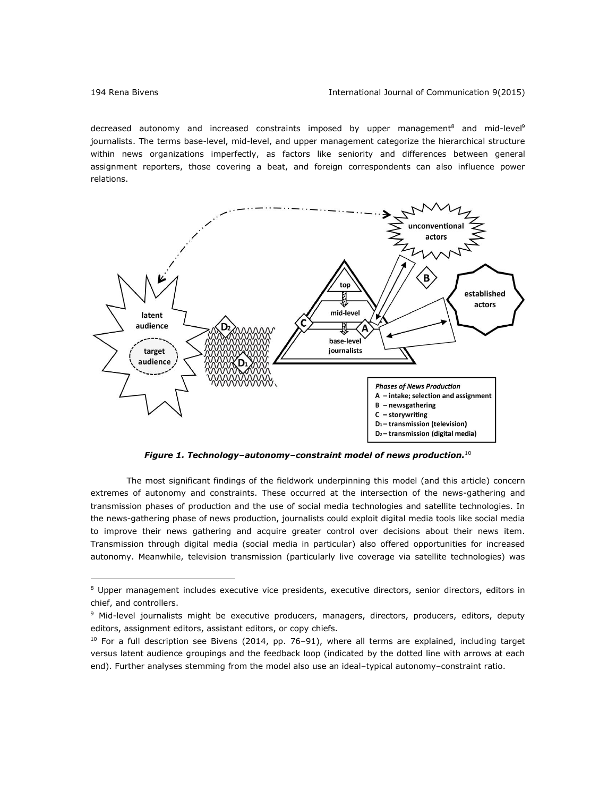decreased autonomy and increased constraints imposed by upper management<sup>8</sup> and mid-level<sup>9</sup> journalists. The terms base-level, mid-level, and upper management categorize the hierarchical structure within news organizations imperfectly, as factors like seniority and differences between general assignment reporters, those covering a beat, and foreign correspondents can also influence power relations.



*Figure 1. Technology–autonomy–constraint model of news production.*<sup>10</sup>

The most significant findings of the fieldwork underpinning this model (and this article) concern extremes of autonomy and constraints. These occurred at the intersection of the news-gathering and transmission phases of production and the use of social media technologies and satellite technologies. In the news-gathering phase of news production, journalists could exploit digital media tools like social media to improve their news gathering and acquire greater control over decisions about their news item. Transmission through digital media (social media in particular) also offered opportunities for increased autonomy. Meanwhile, television transmission (particularly live coverage via satellite technologies) was

<sup>&</sup>lt;sup>8</sup> Upper management includes executive vice presidents, executive directors, senior directors, editors in chief, and controllers.

<sup>&</sup>lt;sup>9</sup> Mid-level journalists might be executive producers, managers, directors, producers, editors, deputy editors, assignment editors, assistant editors, or copy chiefs.

 $10$  For a full description see Bivens (2014, pp. 76-91), where all terms are explained, including target versus latent audience groupings and the feedback loop (indicated by the dotted line with arrows at each end). Further analyses stemming from the model also use an ideal–typical autonomy–constraint ratio.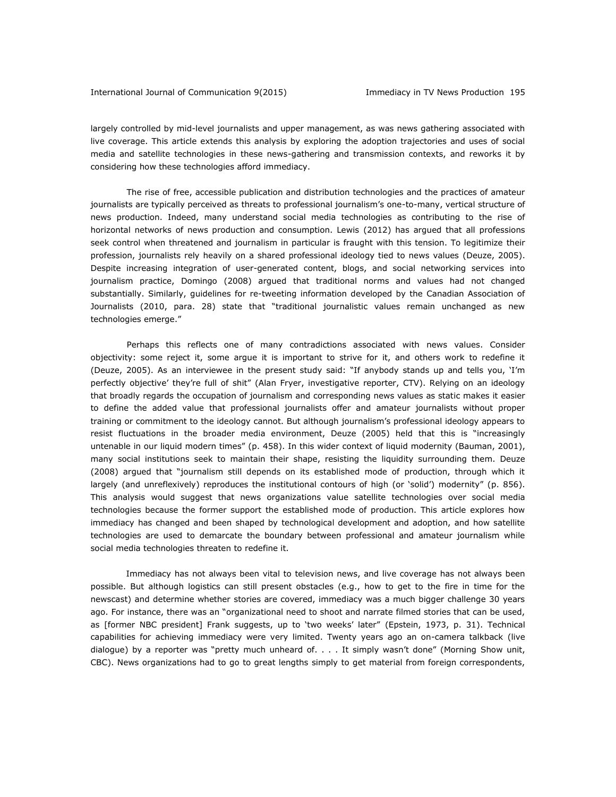largely controlled by mid-level journalists and upper management, as was news gathering associated with live coverage. This article extends this analysis by exploring the adoption trajectories and uses of social media and satellite technologies in these news-gathering and transmission contexts, and reworks it by considering how these technologies afford immediacy.

The rise of free, accessible publication and distribution technologies and the practices of amateur journalists are typically perceived as threats to professional journalism's one-to-many, vertical structure of news production. Indeed, many understand social media technologies as contributing to the rise of horizontal networks of news production and consumption. Lewis (2012) has argued that all professions seek control when threatened and journalism in particular is fraught with this tension. To legitimize their profession, journalists rely heavily on a shared professional ideology tied to news values (Deuze, 2005). Despite increasing integration of user-generated content, blogs, and social networking services into journalism practice, Domingo (2008) argued that traditional norms and values had not changed substantially. Similarly, guidelines for re-tweeting information developed by the Canadian Association of Journalists (2010, para. 28) state that "traditional journalistic values remain unchanged as new technologies emerge."

Perhaps this reflects one of many contradictions associated with news values. Consider objectivity: some reject it, some argue it is important to strive for it, and others work to redefine it (Deuze, 2005). As an interviewee in the present study said: "If anybody stands up and tells you, 'I'm perfectly objective' they're full of shit" (Alan Fryer, investigative reporter, CTV). Relying on an ideology that broadly regards the occupation of journalism and corresponding news values as static makes it easier to define the added value that professional journalists offer and amateur journalists without proper training or commitment to the ideology cannot. But although journalism's professional ideology appears to resist fluctuations in the broader media environment, Deuze (2005) held that this is "increasingly untenable in our liquid modern times" (p. 458). In this wider context of liquid modernity (Bauman, 2001), many social institutions seek to maintain their shape, resisting the liquidity surrounding them. Deuze (2008) argued that "journalism still depends on its established mode of production, through which it largely (and unreflexively) reproduces the institutional contours of high (or 'solid') modernity" (p. 856). This analysis would suggest that news organizations value satellite technologies over social media technologies because the former support the established mode of production. This article explores how immediacy has changed and been shaped by technological development and adoption, and how satellite technologies are used to demarcate the boundary between professional and amateur journalism while social media technologies threaten to redefine it.

Immediacy has not always been vital to television news, and live coverage has not always been possible. But although logistics can still present obstacles (e.g., how to get to the fire in time for the newscast) and determine whether stories are covered, immediacy was a much bigger challenge 30 years ago. For instance, there was an "organizational need to shoot and narrate filmed stories that can be used, as [former NBC president] Frank suggests, up to 'two weeks' later" (Epstein, 1973, p. 31). Technical capabilities for achieving immediacy were very limited. Twenty years ago an on-camera talkback (live dialogue) by a reporter was "pretty much unheard of. . . . It simply wasn't done" (Morning Show unit, CBC). News organizations had to go to great lengths simply to get material from foreign correspondents,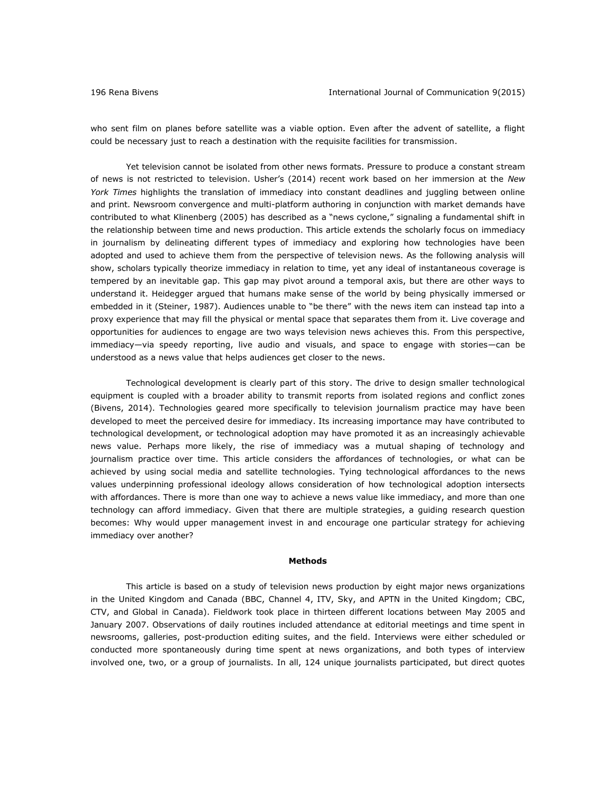who sent film on planes before satellite was a viable option. Even after the advent of satellite, a flight could be necessary just to reach a destination with the requisite facilities for transmission.

Yet television cannot be isolated from other news formats. Pressure to produce a constant stream of news is not restricted to television. Usher's (2014) recent work based on her immersion at the *New York Times* highlights the translation of immediacy into constant deadlines and juggling between online and print. Newsroom convergence and multi-platform authoring in conjunction with market demands have contributed to what Klinenberg (2005) has described as a "news cyclone," signaling a fundamental shift in the relationship between time and news production. This article extends the scholarly focus on immediacy in journalism by delineating different types of immediacy and exploring how technologies have been adopted and used to achieve them from the perspective of television news. As the following analysis will show, scholars typically theorize immediacy in relation to time, yet any ideal of instantaneous coverage is tempered by an inevitable gap. This gap may pivot around a temporal axis, but there are other ways to understand it. Heidegger argued that humans make sense of the world by being physically immersed or embedded in it (Steiner, 1987). Audiences unable to "be there" with the news item can instead tap into a proxy experience that may fill the physical or mental space that separates them from it. Live coverage and opportunities for audiences to engage are two ways television news achieves this. From this perspective, immediacy—via speedy reporting, live audio and visuals, and space to engage with stories—can be understood as a news value that helps audiences get closer to the news.

Technological development is clearly part of this story. The drive to design smaller technological equipment is coupled with a broader ability to transmit reports from isolated regions and conflict zones (Bivens, 2014). Technologies geared more specifically to television journalism practice may have been developed to meet the perceived desire for immediacy. Its increasing importance may have contributed to technological development, or technological adoption may have promoted it as an increasingly achievable news value. Perhaps more likely, the rise of immediacy was a mutual shaping of technology and journalism practice over time. This article considers the affordances of technologies, or what can be achieved by using social media and satellite technologies. Tying technological affordances to the news values underpinning professional ideology allows consideration of how technological adoption intersects with affordances. There is more than one way to achieve a news value like immediacy, and more than one technology can afford immediacy. Given that there are multiple strategies, a guiding research question becomes: Why would upper management invest in and encourage one particular strategy for achieving immediacy over another?

#### **Methods**

This article is based on a study of television news production by eight major news organizations in the United Kingdom and Canada (BBC, Channel 4, ITV, Sky, and APTN in the United Kingdom; CBC, CTV, and Global in Canada). Fieldwork took place in thirteen different locations between May 2005 and January 2007. Observations of daily routines included attendance at editorial meetings and time spent in newsrooms, galleries, post-production editing suites, and the field. Interviews were either scheduled or conducted more spontaneously during time spent at news organizations, and both types of interview involved one, two, or a group of journalists. In all, 124 unique journalists participated, but direct quotes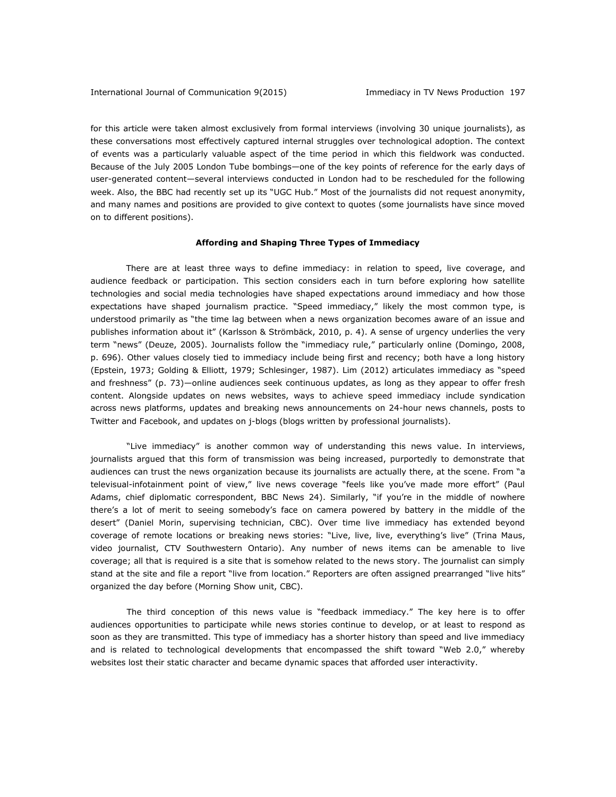for this article were taken almost exclusively from formal interviews (involving 30 unique journalists), as these conversations most effectively captured internal struggles over technological adoption. The context of events was a particularly valuable aspect of the time period in which this fieldwork was conducted. Because of the July 2005 London Tube bombings—one of the key points of reference for the early days of user-generated content—several interviews conducted in London had to be rescheduled for the following week. Also, the BBC had recently set up its "UGC Hub." Most of the journalists did not request anonymity, and many names and positions are provided to give context to quotes (some journalists have since moved on to different positions).

#### **Affording and Shaping Three Types of Immediacy**

There are at least three ways to define immediacy: in relation to speed, live coverage, and audience feedback or participation. This section considers each in turn before exploring how satellite technologies and social media technologies have shaped expectations around immediacy and how those expectations have shaped journalism practice. "Speed immediacy," likely the most common type, is understood primarily as "the time lag between when a news organization becomes aware of an issue and publishes information about it" (Karlsson & Strömbäck, 2010, p. 4). A sense of urgency underlies the very term "news" (Deuze, 2005). Journalists follow the "immediacy rule," particularly online (Domingo, 2008, p. 696). Other values closely tied to immediacy include being first and recency; both have a long history (Epstein, 1973; Golding & Elliott, 1979; Schlesinger, 1987). Lim (2012) articulates immediacy as "speed and freshness" (p. 73)—online audiences seek continuous updates, as long as they appear to offer fresh content. Alongside updates on news websites, ways to achieve speed immediacy include syndication across news platforms, updates and breaking news announcements on 24-hour news channels, posts to Twitter and Facebook, and updates on j-blogs (blogs written by professional journalists).

"Live immediacy" is another common way of understanding this news value. In interviews, journalists argued that this form of transmission was being increased, purportedly to demonstrate that audiences can trust the news organization because its journalists are actually there, at the scene. From "a televisual-infotainment point of view," live news coverage "feels like you've made more effort" (Paul Adams, chief diplomatic correspondent, BBC News 24). Similarly, "if you're in the middle of nowhere there's a lot of merit to seeing somebody's face on camera powered by battery in the middle of the desert" (Daniel Morin, supervising technician, CBC). Over time live immediacy has extended beyond coverage of remote locations or breaking news stories: "Live, live, live, everything's live" (Trina Maus, video journalist, CTV Southwestern Ontario). Any number of news items can be amenable to live coverage; all that is required is a site that is somehow related to the news story. The journalist can simply stand at the site and file a report "live from location." Reporters are often assigned prearranged "live hits" organized the day before (Morning Show unit, CBC).

The third conception of this news value is "feedback immediacy." The key here is to offer audiences opportunities to participate while news stories continue to develop, or at least to respond as soon as they are transmitted. This type of immediacy has a shorter history than speed and live immediacy and is related to technological developments that encompassed the shift toward "Web 2.0," whereby websites lost their static character and became dynamic spaces that afforded user interactivity.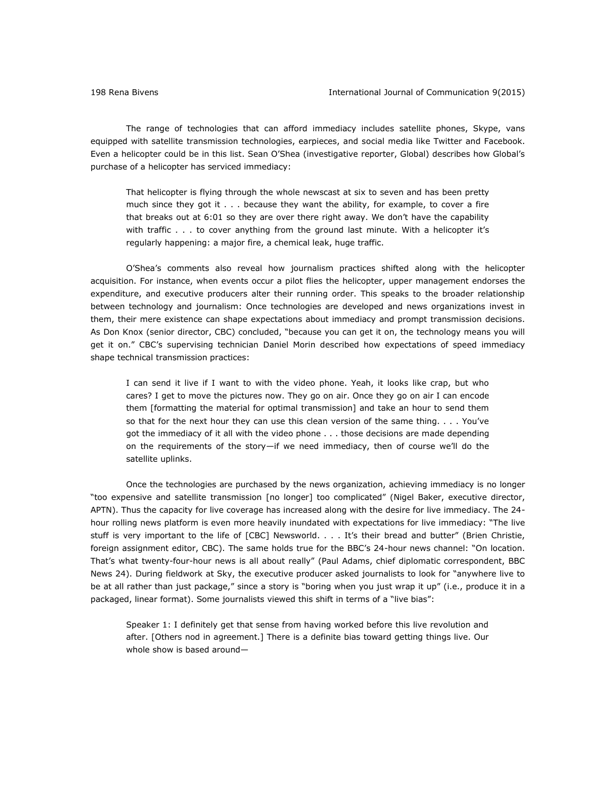The range of technologies that can afford immediacy includes satellite phones, Skype, vans equipped with satellite transmission technologies, earpieces, and social media like Twitter and Facebook. Even a helicopter could be in this list. Sean O'Shea (investigative reporter, Global) describes how Global's purchase of a helicopter has serviced immediacy:

That helicopter is flying through the whole newscast at six to seven and has been pretty much since they got it . . . because they want the ability, for example, to cover a fire that breaks out at 6:01 so they are over there right away. We don't have the capability with traffic . . . to cover anything from the ground last minute. With a helicopter it's regularly happening: a major fire, a chemical leak, huge traffic.

O'Shea's comments also reveal how journalism practices shifted along with the helicopter acquisition. For instance, when events occur a pilot flies the helicopter, upper management endorses the expenditure, and executive producers alter their running order. This speaks to the broader relationship between technology and journalism: Once technologies are developed and news organizations invest in them, their mere existence can shape expectations about immediacy and prompt transmission decisions. As Don Knox (senior director, CBC) concluded, "because you can get it on, the technology means you will get it on." CBC's supervising technician Daniel Morin described how expectations of speed immediacy shape technical transmission practices:

I can send it live if I want to with the video phone. Yeah, it looks like crap, but who cares? I get to move the pictures now. They go on air. Once they go on air I can encode them [formatting the material for optimal transmission] and take an hour to send them so that for the next hour they can use this clean version of the same thing. . . . You've got the immediacy of it all with the video phone . . . those decisions are made depending on the requirements of the story—if we need immediacy, then of course we'll do the satellite uplinks.

Once the technologies are purchased by the news organization, achieving immediacy is no longer "too expensive and satellite transmission [no longer] too complicated" (Nigel Baker, executive director, APTN). Thus the capacity for live coverage has increased along with the desire for live immediacy. The 24 hour rolling news platform is even more heavily inundated with expectations for live immediacy: "The live stuff is very important to the life of [CBC] Newsworld. . . . It's their bread and butter" (Brien Christie, foreign assignment editor, CBC). The same holds true for the BBC's 24-hour news channel: "On location. That's what twenty-four-hour news is all about really" (Paul Adams, chief diplomatic correspondent, BBC News 24). During fieldwork at Sky, the executive producer asked journalists to look for "anywhere live to be at all rather than just package," since a story is "boring when you just wrap it up" (i.e., produce it in a packaged, linear format). Some journalists viewed this shift in terms of a "live bias":

Speaker 1: I definitely get that sense from having worked before this live revolution and after. [Others nod in agreement.] There is a definite bias toward getting things live. Our whole show is based around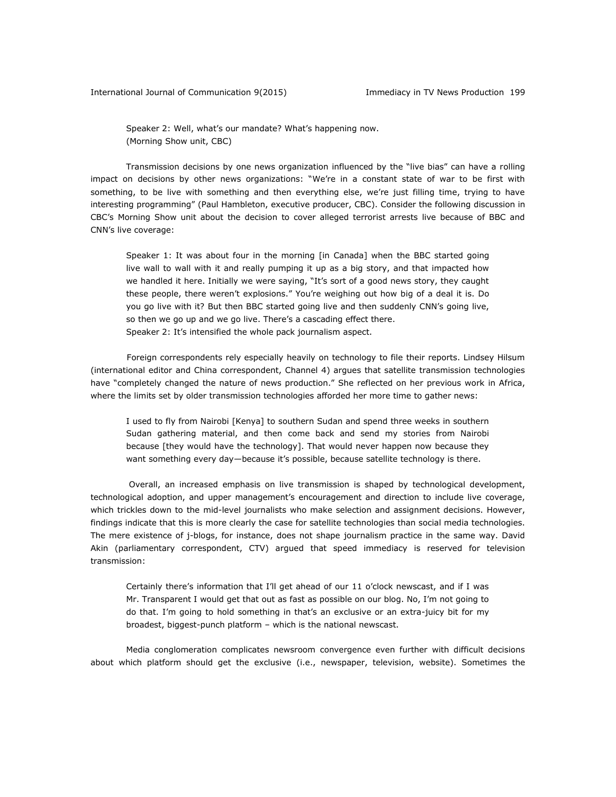Speaker 2: Well, what's our mandate? What's happening now. (Morning Show unit, CBC)

Transmission decisions by one news organization influenced by the "live bias" can have a rolling impact on decisions by other news organizations: "We're in a constant state of war to be first with something, to be live with something and then everything else, we're just filling time, trying to have interesting programming" (Paul Hambleton, executive producer, CBC). Consider the following discussion in CBC's Morning Show unit about the decision to cover alleged terrorist arrests live because of BBC and CNN's live coverage:

Speaker 1: It was about four in the morning [in Canada] when the BBC started going live wall to wall with it and really pumping it up as a big story, and that impacted how we handled it here. Initially we were saying, "It's sort of a good news story, they caught these people, there weren't explosions." You're weighing out how big of a deal it is. Do you go live with it? But then BBC started going live and then suddenly CNN's going live, so then we go up and we go live. There's a cascading effect there. Speaker 2: It's intensified the whole pack journalism aspect.

Foreign correspondents rely especially heavily on technology to file their reports. Lindsey Hilsum (international editor and China correspondent, Channel 4) argues that satellite transmission technologies have "completely changed the nature of news production." She reflected on her previous work in Africa, where the limits set by older transmission technologies afforded her more time to gather news:

I used to fly from Nairobi [Kenya] to southern Sudan and spend three weeks in southern Sudan gathering material, and then come back and send my stories from Nairobi because [they would have the technology]. That would never happen now because they want something every day—because it's possible, because satellite technology is there.

Overall, an increased emphasis on live transmission is shaped by technological development, technological adoption, and upper management's encouragement and direction to include live coverage, which trickles down to the mid-level journalists who make selection and assignment decisions. However, findings indicate that this is more clearly the case for satellite technologies than social media technologies. The mere existence of j-blogs, for instance, does not shape journalism practice in the same way. David Akin (parliamentary correspondent, CTV) argued that speed immediacy is reserved for television transmission:

Certainly there's information that I'll get ahead of our 11 o'clock newscast, and if I was Mr. Transparent I would get that out as fast as possible on our blog. No, I'm not going to do that. I'm going to hold something in that's an exclusive or an extra-juicy bit for my broadest, biggest-punch platform – which is the national newscast.

Media conglomeration complicates newsroom convergence even further with difficult decisions about which platform should get the exclusive (i.e., newspaper, television, website). Sometimes the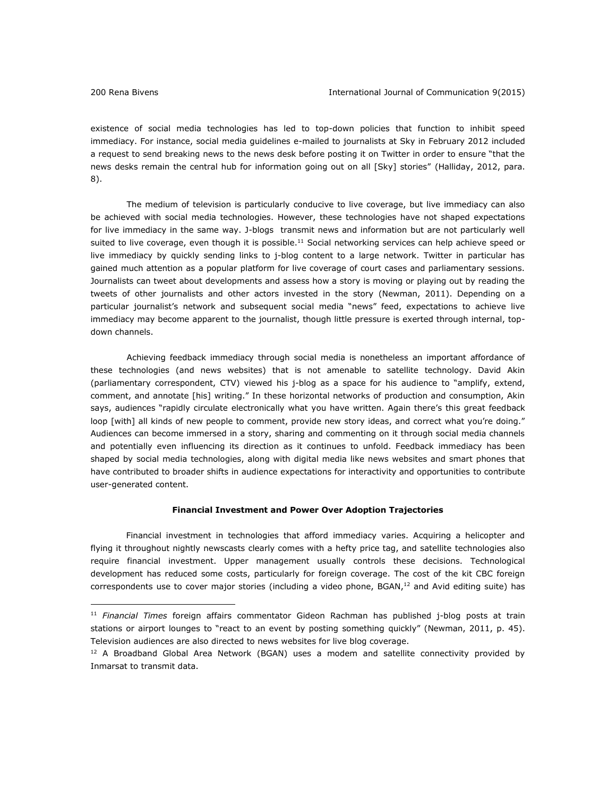existence of social media technologies has led to top-down policies that function to inhibit speed immediacy. For instance, social media guidelines e-mailed to journalists at Sky in February 2012 included a request to send breaking news to the news desk before posting it on Twitter in order to ensure "that the news desks remain the central hub for information going out on all [Sky] stories" (Halliday, 2012, para. 8).

The medium of television is particularly conducive to live coverage, but live immediacy can also be achieved with social media technologies. However, these technologies have not shaped expectations for live immediacy in the same way. J-blogs transmit news and information but are not particularly well suited to live coverage, even though it is possible.<sup>11</sup> Social networking services can help achieve speed or live immediacy by quickly sending links to j-blog content to a large network. Twitter in particular has gained much attention as a popular platform for live coverage of court cases and parliamentary sessions. Journalists can tweet about developments and assess how a story is moving or playing out by reading the tweets of other journalists and other actors invested in the story (Newman, 2011). Depending on a particular journalist's network and subsequent social media "news" feed, expectations to achieve live immediacy may become apparent to the journalist, though little pressure is exerted through internal, topdown channels.

Achieving feedback immediacy through social media is nonetheless an important affordance of these technologies (and news websites) that is not amenable to satellite technology. David Akin (parliamentary correspondent, CTV) viewed his j-blog as a space for his audience to "amplify, extend, comment, and annotate [his] writing." In these horizontal networks of production and consumption, Akin says, audiences "rapidly circulate electronically what you have written. Again there's this great feedback loop [with] all kinds of new people to comment, provide new story ideas, and correct what you're doing." Audiences can become immersed in a story, sharing and commenting on it through social media channels and potentially even influencing its direction as it continues to unfold. Feedback immediacy has been shaped by social media technologies, along with digital media like news websites and smart phones that have contributed to broader shifts in audience expectations for interactivity and opportunities to contribute user-generated content.

# **Financial Investment and Power Over Adoption Trajectories**

Financial investment in technologies that afford immediacy varies. Acquiring a helicopter and flying it throughout nightly newscasts clearly comes with a hefty price tag, and satellite technologies also require financial investment. Upper management usually controls these decisions. Technological development has reduced some costs, particularly for foreign coverage. The cost of the kit CBC foreign correspondents use to cover major stories (including a video phone, BGAN, $<sup>12</sup>$  and Avid editing suite) has</sup>

<sup>11</sup> *Financial Times* foreign affairs commentator Gideon Rachman has published j-blog posts at train stations or airport lounges to "react to an event by posting something quickly" (Newman, 2011, p. 45). Television audiences are also directed to news websites for live blog coverage.

 $12$  A Broadband Global Area Network (BGAN) uses a modem and satellite connectivity provided by Inmarsat to transmit data.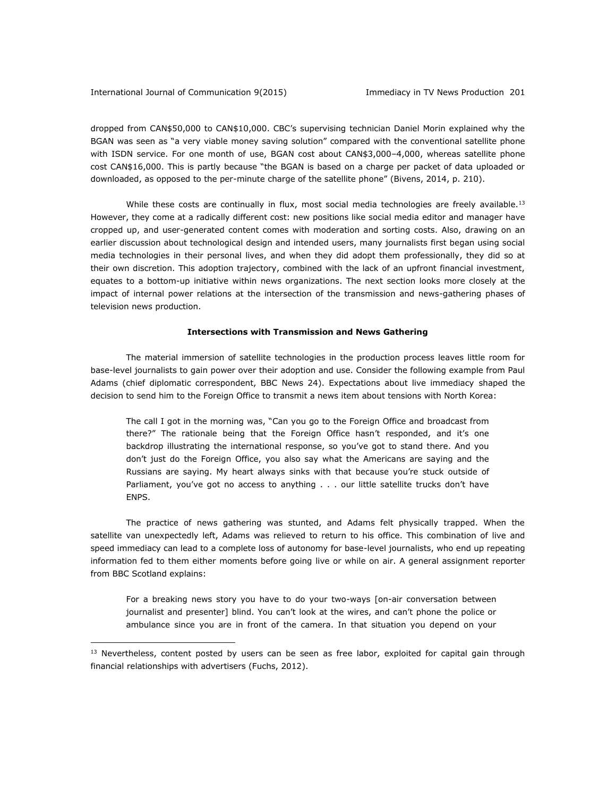### International Journal of Communication 9(2015) Immediacy in TV News Production 201

 $\overline{a}$ 

dropped from CAN\$50,000 to CAN\$10,000. CBC's supervising technician Daniel Morin explained why the BGAN was seen as "a very viable money saving solution" compared with the conventional satellite phone with ISDN service. For one month of use, BGAN cost about CAN\$3,000–4,000, whereas satellite phone cost CAN\$16,000. This is partly because "the BGAN is based on a charge per packet of data uploaded or downloaded, as opposed to the per-minute charge of the satellite phone" (Bivens, 2014, p. 210).

While these costs are continually in flux, most social media technologies are freely available.<sup>13</sup> However, they come at a radically different cost: new positions like social media editor and manager have cropped up, and user-generated content comes with moderation and sorting costs. Also, drawing on an earlier discussion about technological design and intended users, many journalists first began using social media technologies in their personal lives, and when they did adopt them professionally, they did so at their own discretion. This adoption trajectory, combined with the lack of an upfront financial investment, equates to a bottom-up initiative within news organizations. The next section looks more closely at the impact of internal power relations at the intersection of the transmission and news-gathering phases of television news production.

# **Intersections with Transmission and News Gathering**

The material immersion of satellite technologies in the production process leaves little room for base-level journalists to gain power over their adoption and use. Consider the following example from Paul Adams (chief diplomatic correspondent, BBC News 24). Expectations about live immediacy shaped the decision to send him to the Foreign Office to transmit a news item about tensions with North Korea:

The call I got in the morning was, "Can you go to the Foreign Office and broadcast from there?" The rationale being that the Foreign Office hasn't responded, and it's one backdrop illustrating the international response, so you've got to stand there. And you don't just do the Foreign Office, you also say what the Americans are saying and the Russians are saying. My heart always sinks with that because you're stuck outside of Parliament, you've got no access to anything . . . our little satellite trucks don't have ENPS.

The practice of news gathering was stunted, and Adams felt physically trapped. When the satellite van unexpectedly left, Adams was relieved to return to his office. This combination of live and speed immediacy can lead to a complete loss of autonomy for base-level journalists, who end up repeating information fed to them either moments before going live or while on air. A general assignment reporter from BBC Scotland explains:

For a breaking news story you have to do your two-ways [on-air conversation between journalist and presenter] blind. You can't look at the wires, and can't phone the police or ambulance since you are in front of the camera. In that situation you depend on your

<sup>&</sup>lt;sup>13</sup> Nevertheless, content posted by users can be seen as free labor, exploited for capital gain through financial relationships with advertisers (Fuchs, 2012).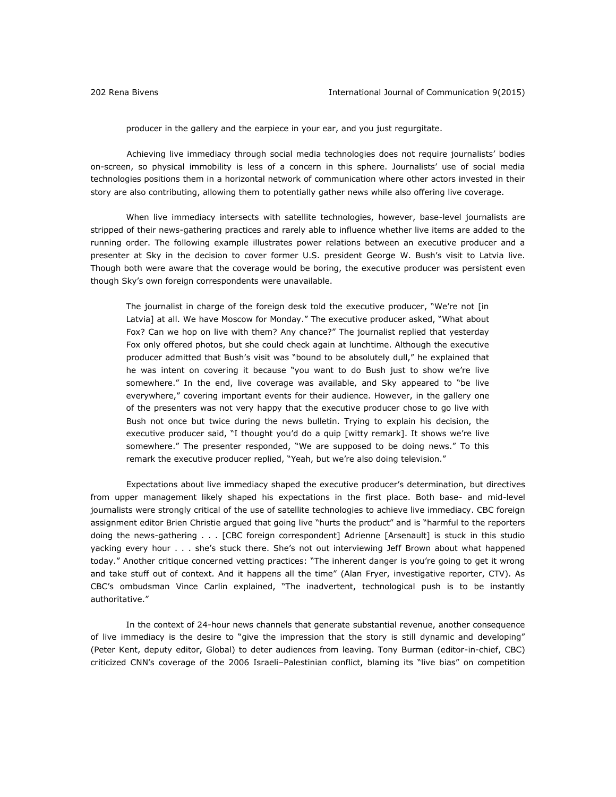producer in the gallery and the earpiece in your ear, and you just regurgitate.

Achieving live immediacy through social media technologies does not require journalists' bodies on-screen, so physical immobility is less of a concern in this sphere. Journalists' use of social media technologies positions them in a horizontal network of communication where other actors invested in their story are also contributing, allowing them to potentially gather news while also offering live coverage.

When live immediacy intersects with satellite technologies, however, base-level journalists are stripped of their news-gathering practices and rarely able to influence whether live items are added to the running order. The following example illustrates power relations between an executive producer and a presenter at Sky in the decision to cover former U.S. president George W. Bush's visit to Latvia live. Though both were aware that the coverage would be boring, the executive producer was persistent even though Sky's own foreign correspondents were unavailable.

The journalist in charge of the foreign desk told the executive producer, "We're not [in Latvia] at all. We have Moscow for Monday." The executive producer asked, "What about Fox? Can we hop on live with them? Any chance?" The journalist replied that yesterday Fox only offered photos, but she could check again at lunchtime. Although the executive producer admitted that Bush's visit was "bound to be absolutely dull," he explained that he was intent on covering it because "you want to do Bush just to show we're live somewhere." In the end, live coverage was available, and Sky appeared to "be live everywhere," covering important events for their audience. However, in the gallery one of the presenters was not very happy that the executive producer chose to go live with Bush not once but twice during the news bulletin. Trying to explain his decision, the executive producer said, "I thought you'd do a quip [witty remark]. It shows we're live somewhere." The presenter responded, "We are supposed to be doing news." To this remark the executive producer replied, "Yeah, but we're also doing television."

Expectations about live immediacy shaped the executive producer's determination, but directives from upper management likely shaped his expectations in the first place. Both base- and mid-level journalists were strongly critical of the use of satellite technologies to achieve live immediacy. CBC foreign assignment editor Brien Christie argued that going live "hurts the product" and is "harmful to the reporters doing the news-gathering . . . [CBC foreign correspondent] Adrienne [Arsenault] is stuck in this studio yacking every hour . . . she's stuck there. She's not out interviewing Jeff Brown about what happened today." Another critique concerned vetting practices: "The inherent danger is you're going to get it wrong and take stuff out of context. And it happens all the time" (Alan Fryer, investigative reporter, CTV). As CBC's ombudsman Vince Carlin explained, "The inadvertent, technological push is to be instantly authoritative."

In the context of 24-hour news channels that generate substantial revenue, another consequence of live immediacy is the desire to "give the impression that the story is still dynamic and developing" (Peter Kent, deputy editor, Global) to deter audiences from leaving. Tony Burman (editor-in-chief, CBC) criticized CNN's coverage of the 2006 Israeli–Palestinian conflict, blaming its "live bias" on competition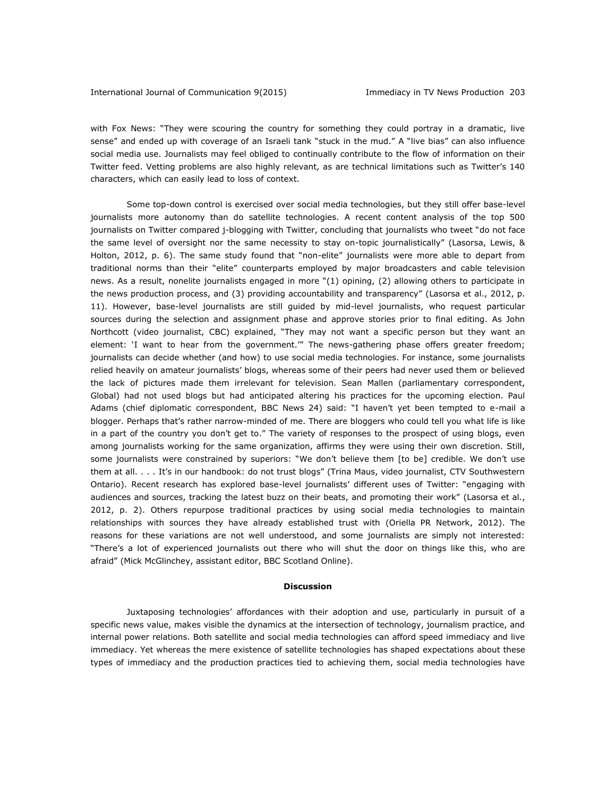with Fox News: "They were scouring the country for something they could portray in a dramatic, live sense" and ended up with coverage of an Israeli tank "stuck in the mud." A "live bias" can also influence social media use. Journalists may feel obliged to continually contribute to the flow of information on their Twitter feed. Vetting problems are also highly relevant, as are technical limitations such as Twitter's 140 characters, which can easily lead to loss of context.

Some top-down control is exercised over social media technologies, but they still offer base-level journalists more autonomy than do satellite technologies. A recent content analysis of the top 500 journalists on Twitter compared j-blogging with Twitter, concluding that journalists who tweet "do not face the same level of oversight nor the same necessity to stay on-topic journalistically" (Lasorsa, Lewis, & Holton, 2012, p. 6). The same study found that "non-elite" journalists were more able to depart from traditional norms than their "elite" counterparts employed by major broadcasters and cable television news. As a result, nonelite journalists engaged in more "(1) opining, (2) allowing others to participate in the news production process, and (3) providing accountability and transparency" (Lasorsa et al., 2012, p. 11). However, base-level journalists are still guided by mid-level journalists, who request particular sources during the selection and assignment phase and approve stories prior to final editing. As John Northcott (video journalist, CBC) explained, "They may not want a specific person but they want an element: 'I want to hear from the government.'" The news-gathering phase offers greater freedom; journalists can decide whether (and how) to use social media technologies. For instance, some journalists relied heavily on amateur journalists' blogs, whereas some of their peers had never used them or believed the lack of pictures made them irrelevant for television. Sean Mallen (parliamentary correspondent, Global) had not used blogs but had anticipated altering his practices for the upcoming election. Paul Adams (chief diplomatic correspondent, BBC News 24) said: "I haven't yet been tempted to e-mail a blogger. Perhaps that's rather narrow-minded of me. There are bloggers who could tell you what life is like in a part of the country you don't get to." The variety of responses to the prospect of using blogs, even among journalists working for the same organization, affirms they were using their own discretion. Still, some journalists were constrained by superiors: "We don't believe them [to be] credible. We don't use them at all. . . . It's in our handbook: do not trust blogs" (Trina Maus, video journalist, CTV Southwestern Ontario). Recent research has explored base-level journalists' different uses of Twitter: "engaging with audiences and sources, tracking the latest buzz on their beats, and promoting their work" (Lasorsa et al., 2012, p. 2). Others repurpose traditional practices by using social media technologies to maintain relationships with sources they have already established trust with (Oriella PR Network, 2012). The reasons for these variations are not well understood, and some journalists are simply not interested: "There's a lot of experienced journalists out there who will shut the door on things like this, who are afraid" (Mick McGlinchey, assistant editor, BBC Scotland Online).

#### **Discussion**

Juxtaposing technologies' affordances with their adoption and use, particularly in pursuit of a specific news value, makes visible the dynamics at the intersection of technology, journalism practice, and internal power relations. Both satellite and social media technologies can afford speed immediacy and live immediacy. Yet whereas the mere existence of satellite technologies has shaped expectations about these types of immediacy and the production practices tied to achieving them, social media technologies have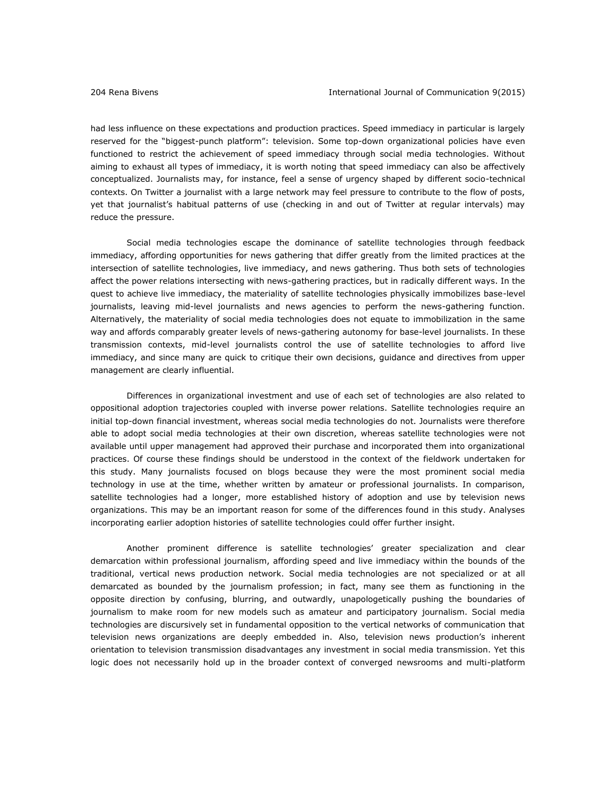had less influence on these expectations and production practices. Speed immediacy in particular is largely reserved for the "biggest-punch platform": television. Some top-down organizational policies have even functioned to restrict the achievement of speed immediacy through social media technologies. Without aiming to exhaust all types of immediacy, it is worth noting that speed immediacy can also be affectively conceptualized. Journalists may, for instance, feel a sense of urgency shaped by different socio-technical contexts. On Twitter a journalist with a large network may feel pressure to contribute to the flow of posts, yet that journalist's habitual patterns of use (checking in and out of Twitter at regular intervals) may reduce the pressure.

Social media technologies escape the dominance of satellite technologies through feedback immediacy, affording opportunities for news gathering that differ greatly from the limited practices at the intersection of satellite technologies, live immediacy, and news gathering. Thus both sets of technologies affect the power relations intersecting with news-gathering practices, but in radically different ways. In the quest to achieve live immediacy, the materiality of satellite technologies physically immobilizes base-level journalists, leaving mid-level journalists and news agencies to perform the news-gathering function. Alternatively, the materiality of social media technologies does not equate to immobilization in the same way and affords comparably greater levels of news-gathering autonomy for base-level journalists. In these transmission contexts, mid-level journalists control the use of satellite technologies to afford live immediacy, and since many are quick to critique their own decisions, guidance and directives from upper management are clearly influential.

Differences in organizational investment and use of each set of technologies are also related to oppositional adoption trajectories coupled with inverse power relations. Satellite technologies require an initial top-down financial investment, whereas social media technologies do not. Journalists were therefore able to adopt social media technologies at their own discretion, whereas satellite technologies were not available until upper management had approved their purchase and incorporated them into organizational practices. Of course these findings should be understood in the context of the fieldwork undertaken for this study. Many journalists focused on blogs because they were the most prominent social media technology in use at the time, whether written by amateur or professional journalists. In comparison, satellite technologies had a longer, more established history of adoption and use by television news organizations. This may be an important reason for some of the differences found in this study. Analyses incorporating earlier adoption histories of satellite technologies could offer further insight.

Another prominent difference is satellite technologies' greater specialization and clear demarcation within professional journalism, affording speed and live immediacy within the bounds of the traditional, vertical news production network. Social media technologies are not specialized or at all demarcated as bounded by the journalism profession; in fact, many see them as functioning in the opposite direction by confusing, blurring, and outwardly, unapologetically pushing the boundaries of journalism to make room for new models such as amateur and participatory journalism. Social media technologies are discursively set in fundamental opposition to the vertical networks of communication that television news organizations are deeply embedded in. Also, television news production's inherent orientation to television transmission disadvantages any investment in social media transmission. Yet this logic does not necessarily hold up in the broader context of converged newsrooms and multi-platform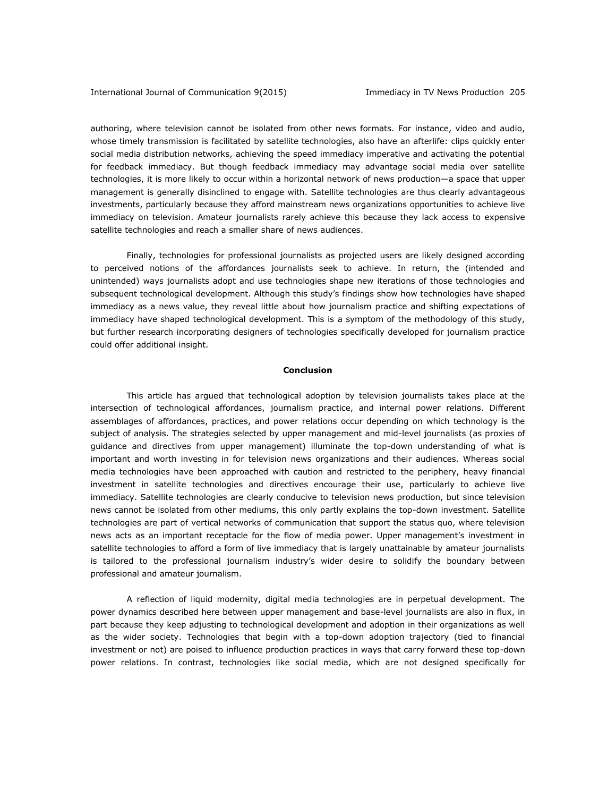authoring, where television cannot be isolated from other news formats. For instance, video and audio, whose timely transmission is facilitated by satellite technologies, also have an afterlife: clips quickly enter social media distribution networks, achieving the speed immediacy imperative and activating the potential for feedback immediacy. But though feedback immediacy may advantage social media over satellite technologies, it is more likely to occur within a horizontal network of news production—a space that upper management is generally disinclined to engage with. Satellite technologies are thus clearly advantageous investments, particularly because they afford mainstream news organizations opportunities to achieve live immediacy on television. Amateur journalists rarely achieve this because they lack access to expensive satellite technologies and reach a smaller share of news audiences.

Finally, technologies for professional journalists as projected users are likely designed according to perceived notions of the affordances journalists seek to achieve. In return, the (intended and unintended) ways journalists adopt and use technologies shape new iterations of those technologies and subsequent technological development. Although this study's findings show how technologies have shaped immediacy as a news value, they reveal little about how journalism practice and shifting expectations of immediacy have shaped technological development. This is a symptom of the methodology of this study, but further research incorporating designers of technologies specifically developed for journalism practice could offer additional insight.

## **Conclusion**

This article has argued that technological adoption by television journalists takes place at the intersection of technological affordances, journalism practice, and internal power relations. Different assemblages of affordances, practices, and power relations occur depending on which technology is the subject of analysis. The strategies selected by upper management and mid-level journalists (as proxies of guidance and directives from upper management) illuminate the top-down understanding of what is important and worth investing in for television news organizations and their audiences. Whereas social media technologies have been approached with caution and restricted to the periphery, heavy financial investment in satellite technologies and directives encourage their use, particularly to achieve live immediacy. Satellite technologies are clearly conducive to television news production, but since television news cannot be isolated from other mediums, this only partly explains the top-down investment. Satellite technologies are part of vertical networks of communication that support the status quo, where television news acts as an important receptacle for the flow of media power. Upper management's investment in satellite technologies to afford a form of live immediacy that is largely unattainable by amateur journalists is tailored to the professional journalism industry's wider desire to solidify the boundary between professional and amateur journalism.

A reflection of liquid modernity, digital media technologies are in perpetual development. The power dynamics described here between upper management and base-level journalists are also in flux, in part because they keep adjusting to technological development and adoption in their organizations as well as the wider society. Technologies that begin with a top-down adoption trajectory (tied to financial investment or not) are poised to influence production practices in ways that carry forward these top-down power relations. In contrast, technologies like social media, which are not designed specifically for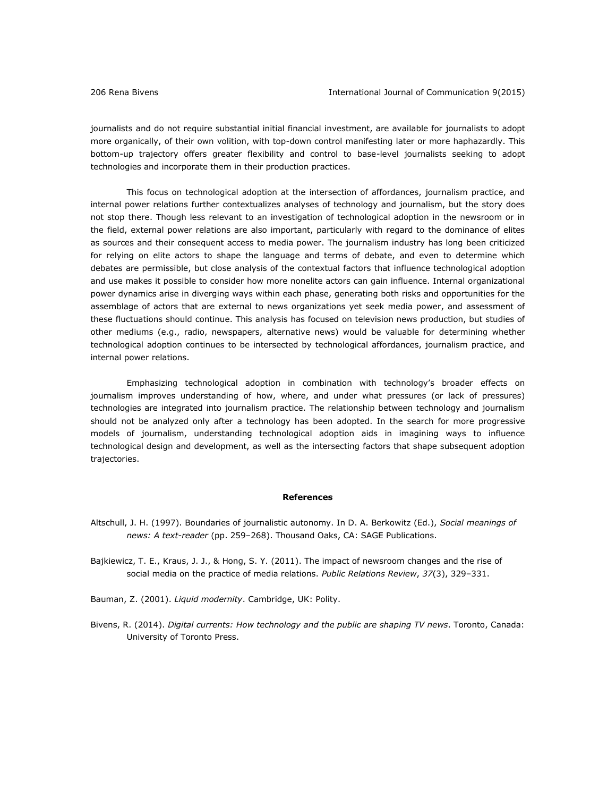journalists and do not require substantial initial financial investment, are available for journalists to adopt more organically, of their own volition, with top-down control manifesting later or more haphazardly. This bottom-up trajectory offers greater flexibility and control to base-level journalists seeking to adopt technologies and incorporate them in their production practices.

This focus on technological adoption at the intersection of affordances, journalism practice, and internal power relations further contextualizes analyses of technology and journalism, but the story does not stop there. Though less relevant to an investigation of technological adoption in the newsroom or in the field, external power relations are also important, particularly with regard to the dominance of elites as sources and their consequent access to media power. The journalism industry has long been criticized for relying on elite actors to shape the language and terms of debate, and even to determine which debates are permissible, but close analysis of the contextual factors that influence technological adoption and use makes it possible to consider how more nonelite actors can gain influence. Internal organizational power dynamics arise in diverging ways within each phase, generating both risks and opportunities for the assemblage of actors that are external to news organizations yet seek media power, and assessment of these fluctuations should continue. This analysis has focused on television news production, but studies of other mediums (e.g., radio, newspapers, alternative news) would be valuable for determining whether technological adoption continues to be intersected by technological affordances, journalism practice, and internal power relations.

Emphasizing technological adoption in combination with technology's broader effects on journalism improves understanding of how, where, and under what pressures (or lack of pressures) technologies are integrated into journalism practice. The relationship between technology and journalism should not be analyzed only after a technology has been adopted. In the search for more progressive models of journalism, understanding technological adoption aids in imagining ways to influence technological design and development, as well as the intersecting factors that shape subsequent adoption trajectories.

# **References**

- Altschull, J. H. (1997). Boundaries of journalistic autonomy. In D. A. Berkowitz (Ed.), *Social meanings of news: A text-reader* (pp. 259–268). Thousand Oaks, CA: SAGE Publications.
- Bajkiewicz, T. E., Kraus, J. J., & Hong, S. Y. (2011). The impact of newsroom changes and the rise of social media on the practice of media relations. *Public Relations Review*, *37*(3), 329–331.
- Bauman, Z. (2001). *Liquid modernity*. Cambridge, UK: Polity.
- Bivens, R. (2014). *Digital currents: How technology and the public are shaping TV news*. Toronto, Canada: University of Toronto Press.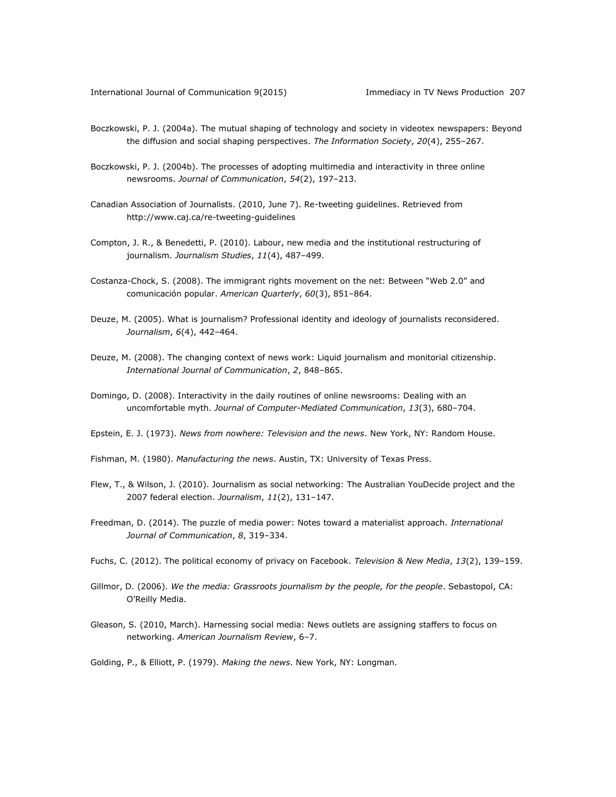- Boczkowski, P. J. (2004a). The mutual shaping of technology and society in videotex newspapers: Beyond the diffusion and social shaping perspectives. *The Information Society*, *20*(4), 255–267.
- Boczkowski, P. J. (2004b). The processes of adopting multimedia and interactivity in three online newsrooms. *Journal of Communication*, *54*(2), 197–213.
- Canadian Association of Journalists. (2010, June 7). Re-tweeting guidelines. Retrieved from <http://www.caj.ca/re-tweeting-guidelines>
- Compton, J. R., & Benedetti, P. (2010). Labour, new media and the institutional restructuring of journalism. *Journalism Studies*, *11*(4), 487–499.
- Costanza-Chock, S. (2008). The immigrant rights movement on the net: Between "Web 2.0" and comunicación popular. *American Quarterly*, *60*(3), 851–864.
- Deuze, M. (2005). What is journalism? Professional identity and ideology of journalists reconsidered. *Journalism*, *6*(4), 442–464.
- Deuze, M. (2008). The changing context of news work: Liquid journalism and monitorial citizenship. *International Journal of Communication*, *2*, 848–865.
- Domingo, D. (2008). Interactivity in the daily routines of online newsrooms: Dealing with an uncomfortable myth. *Journal of Computer-Mediated Communication*, *13*(3), 680–704.
- Epstein, E. J. (1973). *News from nowhere: Television and the news*. New York, NY: Random House.
- Fishman, M. (1980). *Manufacturing the news*. Austin, TX: University of Texas Press.
- Flew, T., & Wilson, J. (2010). Journalism as social networking: The Australian YouDecide project and the 2007 federal election. *Journalism*, *11*(2), 131–147.
- Freedman, D. (2014). The puzzle of media power: Notes toward a materialist approach. *International Journal of Communication*, *8*, 319–334.
- Fuchs, C. (2012). The political economy of privacy on Facebook. *Television & New Media*, *13*(2), 139–159.
- Gillmor, D. (2006). *We the media: Grassroots journalism by the people, for the people*. Sebastopol, CA: O'Reilly Media.
- Gleason, S. (2010, March). Harnessing social media: News outlets are assigning staffers to focus on networking. *American Journalism Review*, 6–7.

Golding, P., & Elliott, P. (1979). *Making the news*. New York, NY: Longman.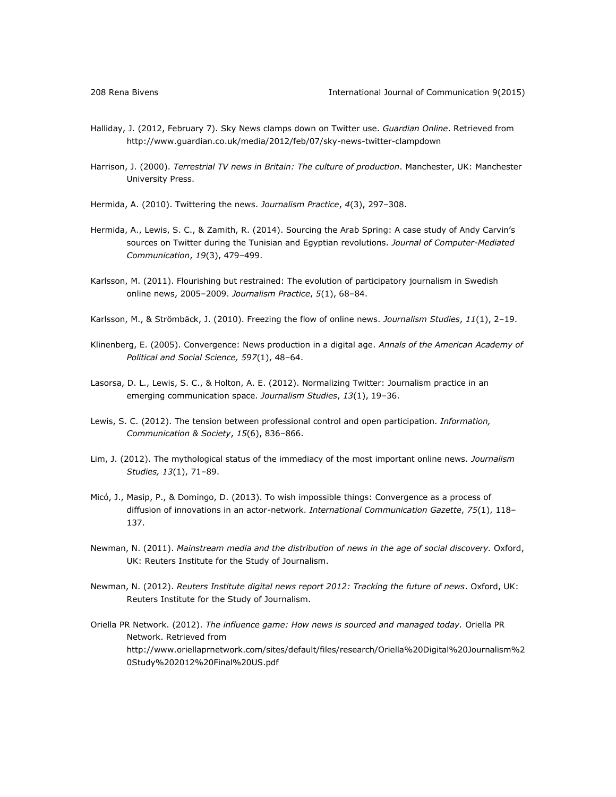- Halliday, J. (2012, February 7). Sky News clamps down on Twitter use. *Guardian Online*. Retrieved from <http://www.guardian.co.uk/media/2012/feb/07/sky-news-twitter-clampdown>
- Harrison, J. (2000). *Terrestrial TV news in Britain: The culture of production*. Manchester, UK: Manchester University Press.
- Hermida, A. (2010). Twittering the news. *Journalism Practice*, *4*(3), 297–308.
- Hermida, A., Lewis, S. C., & Zamith, R. (2014). Sourcing the Arab Spring: A case study of Andy Carvin's sources on Twitter during the Tunisian and Egyptian revolutions. *Journal of Computer-Mediated Communication*, *19*(3), 479–499.
- Karlsson, M. (2011). Flourishing but restrained: The evolution of participatory journalism in Swedish online news, 2005–2009. *Journalism Practice*, *5*(1), 68–84.
- Karlsson, M., & Strömbäck, J. (2010). Freezing the flow of online news. *Journalism Studies*, *11*(1), 2–19.
- Klinenberg, E. (2005). Convergence: News production in a digital age. *Annals of the American Academy of Political and Social Science, 597*(1), 48–64.
- Lasorsa, D. L., Lewis, S. C., & Holton, A. E. (2012). Normalizing Twitter: Journalism practice in an emerging communication space. *Journalism Studies*, *13*(1), 19–36.
- Lewis, S. C. (2012). The tension between professional control and open participation. *Information, Communication & Society*, *15*(6), 836–866.
- Lim, J. (2012). The mythological status of the immediacy of the most important online news. *Journalism Studies, 13*(1), 71–89.
- Micó, J., Masip, P., & Domingo, D. (2013). To wish impossible things: Convergence as a process of diffusion of innovations in an actor-network. *International Communication Gazette*, *75*(1), 118– 137.
- Newman, N. (2011). *Mainstream media and the distribution of news in the age of social discovery.* Oxford, UK: Reuters Institute for the Study of Journalism.
- Newman, N. (2012). *Reuters Institute digital news report 2012: Tracking the future of news*. Oxford, UK: Reuters Institute for the Study of Journalism.
- Oriella PR Network. (2012). *The influence game: How news is sourced and managed today.* Oriella PR Network. Retrieved from [http://www.oriellaprnetwork.com/sites/default/files/research/Oriella%20Digital%20Journalism%2](http://www.oriellaprnetwork.com/sites/default/files/research/Oriella%20Digital%20Journalism%20Study%202012%20Final%20US.pdf) [0Study%202012%20Final%20US.pdf](http://www.oriellaprnetwork.com/sites/default/files/research/Oriella%20Digital%20Journalism%20Study%202012%20Final%20US.pdf)